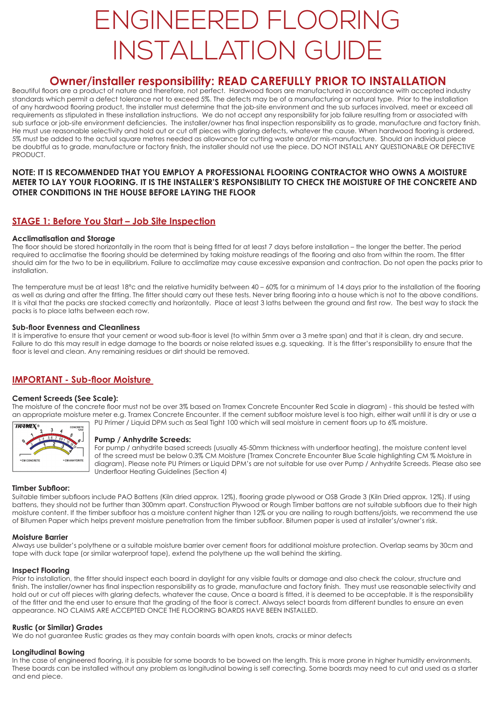# ENGINEERED FLOORING INSTALLATION GUIDE

## **Owner/installer responsibility: READ CAREFULLY PRIOR TO INSTALLATION**

Beautiful floors are a product of nature and therefore, not perfect. Hardwood floors are manufactured in accordance with accepted industry standards which permit a defect tolerance not to exceed 5%. The defects may be of a manufacturing or natural type. Prior to the installation of any hardwood flooring product, the installer must determine that the job-site environment and the sub surfaces involved, meet or exceed all requirements as stipulated in these installation instructions. We do not accept any responsibility for job failure resulting from or associated with sub surface or job-site environment deficiencies. The installer/owner has final inspection responsibility as to grade, manufacture and factory finish. He must use reasonable selectivity and hold out or cut off pieces with glaring defects, whatever the cause. When hardwood flooring is ordered, 5% must be added to the actual square metres needed as allowance for cutting waste and/or mis-manufacture. Should an individual piece be doubtful as to grade, manufacture or factory finish, the installer should not use the piece. DO NOT INSTALL ANY QUESTIONABLE OR DEFECTIVE PRODUCT.

#### **NOTE: IT IS RECOMMENDED THAT YOU EMPLOY A PROFESSIONAL FLOORING CONTRACTOR WHO OWNS A MOISTURE METER TO LAY YOUR FLOORING. IT IS THE INSTALLER'S RESPONSIBILITY TO CHECK THE MOISTURE OF THE CONCRETE AND OTHER CONDITIONS IN THE HOUSE BEFORE LAYING THE FLOOR**

## **STAGE 1: Before You Start – Job Site Inspection**

#### **Acclimatisation and Storage**

The floor should be stored horizontally in the room that is being fitted for at least 7 days before installation – the longer the better. The period required to acclimatise the flooring should be determined by taking moisture readings of the flooring and also from within the room. The fitter should aim for the two to be in equilibrium. Failure to acclimatize may cause excessive expansion and contraction. Do not open the packs prior to installation.

The temperature must be at least 18°c and the relative humidity between 40 – 60% for a minimum of 14 days prior to the installation of the flooring as well as during and after the fitting. The fitter should carry out these tests. Never bring flooring into a house which is not to the above conditions. It is vital that the packs are stacked correctly and horizontally. Place at least 3 laths between the ground and first row. The best way to stack the packs is to place laths between each row.

#### **Sub-floor Evenness and Cleanliness**

It is imperative to ensure that your cement or wood sub-floor is level (to within 5mm over a 3 metre span) and that it is clean, dry and secure. Failure to do this may result in edge damage to the boards or noise related issues e.g. squeaking. It is the fitter's responsibility to ensure that the floor is level and clean. Any remaining residues or dirt should be removed.

## **IMPORTANT - Sub-floor Moisture**

#### **Cement Screeds (See Scale):**

The moisture of the concrete floor must not be over 3% based on Tramex Concrete Encounter Red Scale in diagram) - this should be tested with an appropriate moisture meter e.g. Tramex Concrete Encounter. If the cement subfloor moisture level is too high, either wait until it is dry or use a PU Primer / Liquid DPM such as Seal Tight 100 which will seal moisture in cement floors up to 6% moisture.



#### **Pump / Anhydrite Screeds:**

For pump / anhydrite based screeds (usually 45-50mm thickness with underfloor heating), the moisture content level of the screed must be below 0.3% CM Moisture (Tramex Concrete Encounter Blue Scale highlighting CM % Moisture in diagram). Please note PU Primers or Liquid DPM's are not suitable for use over Pump / Anhydrite Screeds. Please also see Underfloor Heating Guidelines (Section 4)

#### **Timber Subfloor:**

Suitable timber subfloors include PAO Battens (Kiln dried approx. 12%), flooring grade plywood or OSB Grade 3 (Kiln Dried approx. 12%). If using battens, they should not be further than 300mm apart. Construction Plywood or Rough Timber battons are not suitable subfloors due to their high moisture content. If the timber subfloor has a moisture content higher than 12% or you are nailing to rough battens/joists, we recommend the use of Bitumen Paper which helps prevent moisture penetration from the timber subfloor. Bitumen paper is used at installer's/owner's risk.

#### **Moisture Barrier**

Always use builder's polythene or a suitable moisture barrier over cement floors for additional moisture protection. Overlap seams by 30cm and tape with duck tape (or similar waterproof tape), extend the polythene up the wall behind the skirting.

#### **Inspect Flooring**

Prior to installation, the fitter should inspect each board in daylight for any visible faults or damage and also check the colour, structure and finish. The installer/owner has final inspection responsibility as to grade, manufacture and factory finish. They must use reasonable selectivity and hold out or cut off pieces with glaring defects, whatever the cause, Once a board is fitted, it is deemed to be acceptable. It is the responsibility of the fitter and the end user to ensure that the grading of the floor is correct. Always select boards from different bundles to ensure an even appearance. NO CLAIMS ARE ACCEPTED ONCE THE FLOORING BOARDS HAVE BEEN INSTALLED.

#### **Rustic (or Similar) Grades**

We do not guarantee Rustic grades as they may contain boards with open knots, cracks or minor defects

## **Longitudinal Bowing**

In the case of engineered flooring, it is possible for some boards to be bowed on the length. This is more prone in higher humidity environments. These boards can be installed without any problem as longitudinal bowing is self correcting. Some boards may need to cut and used as a starter and end piece.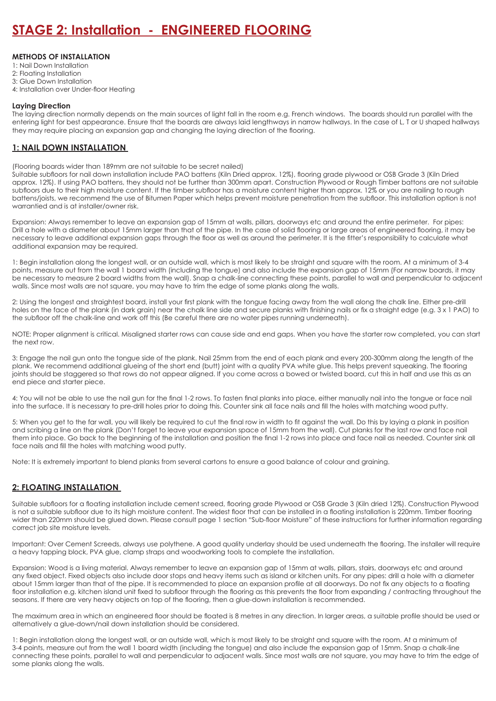#### **METHODS OF INSTALLATION**

- 1: Nail Down Installation
- 2: Floating Installation
- 3: Glue Down Installation
- 4: Installation over Under-floor Heating

#### **Laying Direction**

The laying direction normally depends on the main sources of light fall in the room e.g. French windows. The boards should run parallel with the entering light for best appearance. Ensure that the boards are always laid lengthways in narrow hallways. In the case of L, T or U shaped hallways they may require placing an expansion gap and changing the laying direction of the flooring.

#### **1: NAIL DOWN INSTALLATION**

(Flooring boards wider than 189mm are not suitable to be secret nailed)

Suitable subfloors for nail down installation include PAO battens (Kiln Dried approx. 12%), flooring grade plywood or OSB Grade 3 (Kiln Dried approx. 12%). If using PAO battens, they should not be further than 300mm apart. Construction Plywood or Rough Timber battons are not suitable subfloors due to their high moisture content. If the timber subfloor has a moisture content higher than approx. 12% or you are nailing to rough battens/joists, we recommend the use of Bitumen Paper which helps prevent moisture penetration from the subfloor. This installation option is not warrantied and is at installer/owner risk.

Expansion: Always remember to leave an expansion gap of 15mm at walls, pillars, doorways etc and around the entire perimeter. For pipes: Drill a hole with a diameter about 15mm larger than that of the pipe. In the case of solid flooring or large areas of engineered flooring, it may be necessary to leave additional expansion gaps through the floor as well as around the perimeter. It is the fitter's responsibility to calculate what additional expansion may be required.

1: Begin installation along the longest wall, or an outside wall, which is most likely to be straight and square with the room. At a minimum of 3-4 points, measure out from the wall 1 board width (including the tongue) and also include the expansion gap of 15mm (For narrow boards, it may be necessary to measure 2 board widths from the wall). Snap a chalk-line connecting these points, parallel to wall and perpendicular to adjacent walls. Since most walls are not square, you may have to trim the edge of some planks along the walls.

2: Using the longest and straightest board, install your first plank with the tongue facing away from the wall along the chalk line. Either pre-drill holes on the face of the plank (in dark grain) near the chalk line side and secure planks with finishing nails or fix a straight edge (e.g. 3 x 1 PAO) to the subfloor off the chalk-line and work off this (Be careful there are no water pipes running underneath).

NOTE: Proper alignment is critical. Misaligned starter rows can cause side and end gaps. When you have the starter row completed, you can start the next row.

3: Engage the nail gun onto the tongue side of the plank. Nail 25mm from the end of each plank and every 200-300mm along the length of the plank. We recommend additional glueing of the short end (butt) joint with a quality PVA white glue. This helps prevent squeaking. The flooring joints should be staggered so that rows do not appear aligned. If you come across a bowed or twisted board, cut this in half and use this as an end piece and starter piece.

4: You will not be able to use the nail gun for the final 1-2 rows. To fasten final planks into place, either manually nail into the tongue or face nail into the surface. It is necessary to pre-drill holes prior to doing this. Counter sink all face nails and fill the holes with matching wood putty.

5: When you get to the far wall, you will likely be required to cut the final row in width to fit against the wall. Do this by laying a plank in position and scribing a line on the plank (Don't forget to leave your expansion space of 15mm from the wall). Cut planks for the last row and face nail them into place. Go back to the beginning of the installation and position the final 1-2 rows into place and face nail as needed. Counter sink all face nails and fill the holes with matching wood putty.

Note: It is extremely important to blend planks from several cartons to ensure a good balance of colour and graining.

## **2: FLOATING INSTALLATION**

Suitable subfloors for a floating installation include cement screed, flooring grade Plywood or OSB Grade 3 (Kiln dried 12%). Construction Plywood is not a suitable subfloor due to its high moisture content. The widest floor that can be installed in a floating installation is 220mm. Timber flooring wider than 220mm should be glued down. Please consult page 1 section "Sub-floor Moisture" of these instructions for further information regarding correct job site moisture levels.

Important: Over Cement Screeds, always use polythene. A good quality underlay should be used underneath the flooring. The installer will require a heavy tapping block, PVA glue, clamp straps and woodworking tools to complete the installation.

Expansion: Wood is a living material. Always remember to leave an expansion gap of 15mm at walls, pillars, stairs, doorways etc and around any fixed object. Fixed objects also include door stops and heavy items such as island or kitchen units. For any pipes: drill a hole with a diameter about 15mm larger than that of the pipe. It is recommended to place an expansion profile at all doorways. Do not fix any objects to a floating floor installation e.g. kitchen island unit fixed to subfloor through the flooring as this prevents the floor from expanding / contracting throughout the seasons. If there are very heavy objects on top of the flooring, then a glue-down installation is recommended.

The maximum area in which an engineered floor should be floated is 8 metres in any direction. In larger areas, a suitable profile should be used or alternatively a glue-down/nail down installation should be considered.

1: Begin installation along the longest wall, or an outside wall, which is most likely to be straight and square with the room. At a minimum of 3-4 points, measure out from the wall 1 board width (including the tongue) and also include the expansion gap of 15mm. Snap a chalk-line connecting these points, parallel to wall and perpendicular to adjacent walls. Since most walls are not square, you may have to trim the edge of some planks along the walls.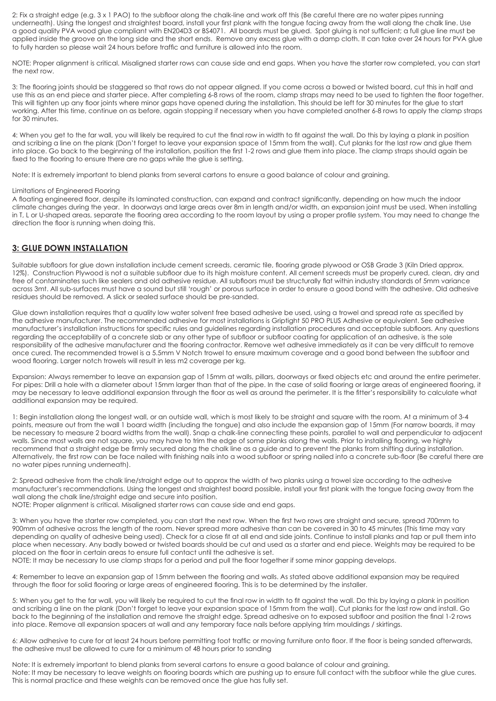2: Fix a straight edge (e.g. 3 x 1 PAO) to the subfloor along the chalk-line and work off this (Be careful there are no water pipes running underneath). Using the longest and straightest board, install your first plank with the tongue facing away from the wall along the chalk line. Use a good quality PVA wood glue compliant with EN204D3 or BS4071. All boards must be glued. Spot gluing is not sufficient; a full glue line must be applied inside the groove on the long side and the short ends. Remove any excess glue with a damp cloth. It can take over 24 hours for PVA glue to fully harden so please wait 24 hours before traffic and furniture is allowed into the room.

NOTE: Proper alignment is critical. Misaligned starter rows can cause side and end gaps. When you have the starter row completed, you can start the next row.

3: The flooring joints should be staggered so that rows do not appear aligned. If you come across a bowed or twisted board, cut this in half and use this as an end piece and starter piece. After completing 6-8 rows of the room, clamp straps may need to be used to tighten the floor together. This will tighten up any floor joints where minor gaps have opened during the installation. This should be left for 30 minutes for the glue to start working. After this time, continue on as before, again stopping if necessary when you have completed another 6-8 rows to apply the clamp straps for 30 minutes.

4: When you get to the far wall, you will likely be required to cut the final row in width to fit against the wall. Do this by laying a plank in position and scribing a line on the plank (Don't forget to leave your expansion space of 15mm from the wall). Cut planks for the last row and glue them into place. Go back to the beginning of the installation, position the first 1-2 rows and glue them into place. The clamp straps should again be fixed to the flooring to ensure there are no gaps while the glue is setting.

Note: It is extremely important to blend planks from several cartons to ensure a good balance of colour and graining.

#### Limitations of Engineered Flooring

A floating engineered floor, despite its laminated construction, can expand and contract significantly, depending on how much the indoor climate changes during the year. In doorways and large areas over 8m in length and/or width, an expansion joint must be used. When installing in T, L or U-shaped areas, separate the flooring area according to the room layout by using a proper profile system. You may need to change the direction the floor is running when doing this.

#### **3: GLUE DOWN INSTALLATION**

Suitable subfloors for glue down installation include cement screeds, ceramic tile, flooring grade plywood or OSB Grade 3 (Kiln Dried approx. 12%). Construction Plywood is not a suitable subfloor due to its high moisture content. All cement screeds must be properly cured, clean, dry and free of contaminates such like sealers and old adhesive residue. All subfloors must be structurally flat within industry standards of 5mm variance across 3mt. All sub-surfaces must have a sound but still 'rough' or porous surface in order to ensure a good bond with the adhesive. Old adhesive residues should be removed. A slick or sealed surface should be pre-sanded.

Glue down installation requires that a quality low water solvent free based adhesive be used, using a trowel and spread rate as specified by the adhesive manufacturer. The recommended adhesive for most installations is Griptight 50 PRO PLUS Adhesive or equivalent. See adhesive manufacturer's installation instructions for specific rules and guidelines regarding installation procedures and acceptable subfloors. Any questions regarding the acceptability of a concrete slab or any other type of subfloor or subfloor coating for application of an adhesive, is the sole responsibility of the adhesive manufacturer and the flooring contractor. Remove wet adhesive immediately as it can be very difficult to remove once cured. The recommended trowel is a 5.5mm V Notch trowel to ensure maximum coverage and a good bond between the subfloor and wood flooring. Larger notch trowels will result in less m2 coverage per kg.

Expansion: Always remember to leave an expansion gap of 15mm at walls, pillars, doorways or fixed objects etc and around the entire perimeter. For pipes: Drill a hole with a diameter about 15mm larger than that of the pipe. In the case of solid flooring or large areas of engineered flooring, it may be necessary to leave additional expansion through the floor as well as around the perimeter. It is the fitter's responsibility to calculate what additional expansion may be required.

1: Begin installation along the longest wall, or an outside wall, which is most likely to be straight and square with the room. At a minimum of 3-4 points, measure out from the wall 1 board width (including the tongue) and also include the expansion gap of 15mm (For narrow boards, it may be necessary to measure 2 board widths from the wall). Snap a chalk-line connecting these points, parallel to wall and perpendicular to adjacent walls. Since most walls are not square, you may have to trim the edge of some planks along the walls. Prior to installing flooring, we highly recommend that a straight edge be firmly secured along the chalk line as a guide and to prevent the planks from shifting during installation. Alternatively, the first row can be face nailed with finishing nails into a wood subfloor or spring nailed into a concrete sub-floor (Be careful there are no water pipes running underneath).

2: Spread adhesive from the chalk line/straight edge out to approx the width of two planks using a trowel size according to the adhesive manufacturer's recommendations. Using the longest and straightest board possible, install your first plank with the tongue facing away from the wall along the chalk line/straight edge and secure into position.

NOTE: Proper alignment is critical. Misaligned starter rows can cause side and end gaps.

3: When you have the starter row completed, you can start the next row. When the first two rows are straight and secure, spread 700mm to 900mm of adhesive across the length of the room. Never spread more adhesive than can be covered in 30 to 45 minutes (This time may vary depending on quality of adhesive being used). Check for a close fit at all end and side joints. Continue to install planks and tap or pull them into place when necessary. Any badly bowed or twisted boards should be cut and used as a starter and end piece. Weights may be required to be placed on the floor in certain areas to ensure full contact until the adhesive is set.

NOTE: It may be necessary to use clamp straps for a period and pull the floor together if some minor gapping develops.

4: Remember to leave an expansion gap of 15mm between the flooring and walls. As stated above additional expansion may be required through the floor for solid flooring or large areas of engineered flooring. This is to be determined by the installer.

5: When you get to the far wall, you will likely be required to cut the final row in width to fit against the wall. Do this by laying a plank in position and scribing a line on the plank (Don't forget to leave your expansion space of 15mm from the wall). Cut planks for the last row and install. Go back to the beginning of the installation and remove the straight edge. Spread adhesive on to exposed subfloor and position the final 1-2 rows into place. Remove all expansion spacers at wall and any temporary face nails before applying trim mouldings / skirtings.

6: Allow adhesive to cure for at least 24 hours before permitting foot traffic or moving furniture onto floor. If the floor is being sanded afterwards, the adhesive must be allowed to cure for a minimum of 48 hours prior to sanding

Note: It is extremely important to blend planks from several cartons to ensure a good balance of colour and graining. Note: It may be necessary to leave weights on flooring boards which are pushing up to ensure full contact with the subfloor while the glue cures. This is normal practice and these weights can be removed once the glue has fully set.